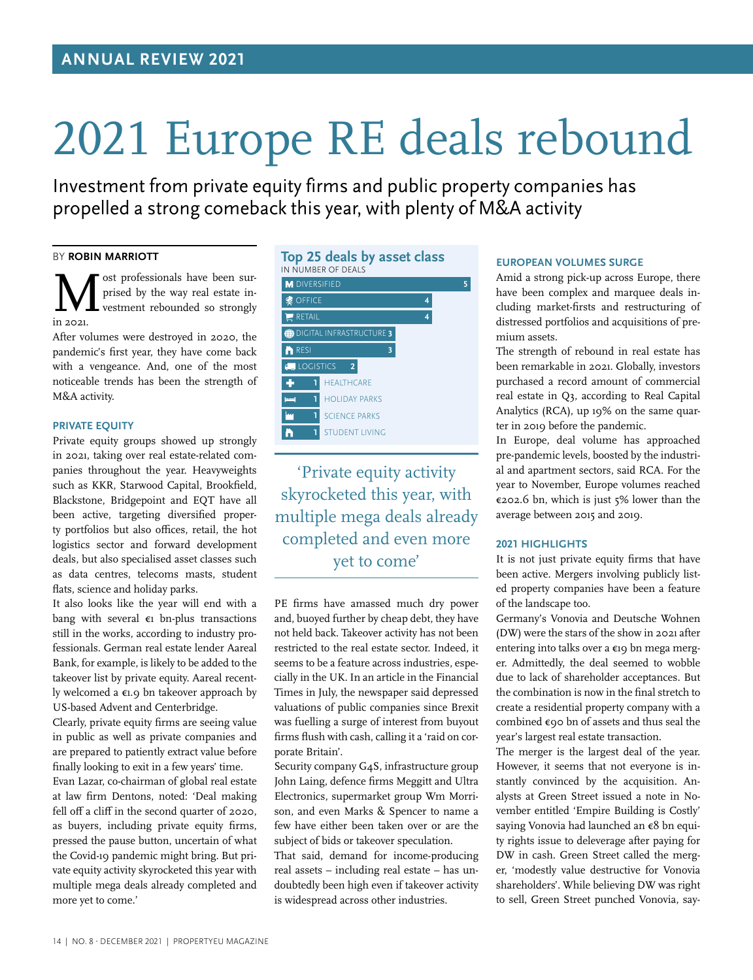# 2021 Europe RE deals rebound

Investment from private equity firms and public property companies has propelled a strong comeback this year, with plenty of M&A activity

# BY **ROBIN MARRIOTT**

Mest professionals have been sur-<br>prised by the way real estate in-<br>in 2021 prised by the way real estate investment rebounded so strongly in 2021.

After volumes were destroyed in 2020, the pandemic's first year, they have come back with a vengeance. And, one of the most noticeable trends has been the strength of M&A activity.

# **PRIVATE EQUITY**

Private equity groups showed up strongly in 2021, taking over real estate-related companies throughout the year. Heavyweights such as KKR, Starwood Capital, Brookfield, Blackstone, Bridgepoint and EQT have all been active, targeting diversified property portfolios but also offices, retail, the hot logistics sector and forward development deals, but also specialised asset classes such as data centres, telecoms masts, student flats, science and holiday parks.

It also looks like the year will end with a bang with several €1 bn-plus transactions still in the works, according to industry professionals. German real estate lender Aareal Bank, for example, is likely to be added to the takeover list by private equity. Aareal recently welcomed a  $\epsilon$ 1.9 bn takeover approach by US-based Advent and Centerbridge.

Clearly, private equity firms are seeing value in public as well as private companies and are prepared to patiently extract value before finally looking to exit in a few years' time.

Evan Lazar, co-chairman of global real estate at law firm Dentons, noted: 'Deal making fell off a cliff in the second quarter of 2020, as buyers, including private equity firms, pressed the pause button, uncertain of what the Covid-19 pandemic might bring. But private equity activity skyrocketed this year with multiple mega deals already completed and more yet to come.'

# **Top 25 deals by asset class** IN NUMBER OF DEALS



'Private equity activity skyrocketed this year, with multiple mega deals already completed and even more yet to come'

PE firms have amassed much dry power and, buoyed further by cheap debt, they have not held back. Takeover activity has not been restricted to the real estate sector. Indeed, it seems to be a feature across industries, especially in the UK. In an article in the Financial Times in July, the newspaper said depressed valuations of public companies since Brexit was fuelling a surge of interest from buyout firms flush with cash, calling it a 'raid on corporate Britain'.

Security company G4S, infrastructure group John Laing, defence firms Meggitt and Ultra Electronics, supermarket group Wm Morrison, and even Marks & Spencer to name a few have either been taken over or are the subject of bids or takeover speculation.

That said, demand for income-producing real assets – including real estate – has undoubtedly been high even if takeover activity is widespread across other industries.

# **EUROPEAN VOLUMES SURGE**

Amid a strong pick-up across Europe, there have been complex and marquee deals including market-firsts and restructuring of distressed portfolios and acquisitions of premium assets.

The strength of rebound in real estate has been remarkable in 2021. Globally, investors purchased a record amount of commercial real estate in Q3, according to Real Capital Analytics (RCA), up 19% on the same quarter in 2019 before the pandemic.

In Europe, deal volume has approached pre-pandemic levels, boosted by the industrial and apartment sectors, said RCA. For the year to November, Europe volumes reached €202.6 bn, which is just 5% lower than the average between 2015 and 2019.

# **2021 HIGHLIGHTS**

It is not just private equity firms that have been active. Mergers involving publicly listed property companies have been a feature of the landscape too.

Germany's Vonovia and Deutsche Wohnen (DW) were the stars of the show in 2021 after entering into talks over a €19 bn mega merger. Admittedly, the deal seemed to wobble due to lack of shareholder acceptances. But the combination is now in the final stretch to create a residential property company with a combined €90 bn of assets and thus seal the year's largest real estate transaction.

The merger is the largest deal of the year. However, it seems that not everyone is instantly convinced by the acquisition. Analysts at Green Street issued a note in November entitled 'Empire Building is Costly' saying Vonovia had launched an €8 bn equity rights issue to deleverage after paying for DW in cash. Green Street called the merger, 'modestly value destructive for Vonovia shareholders'. While believing DW was right to sell, Green Street punched Vonovia, say-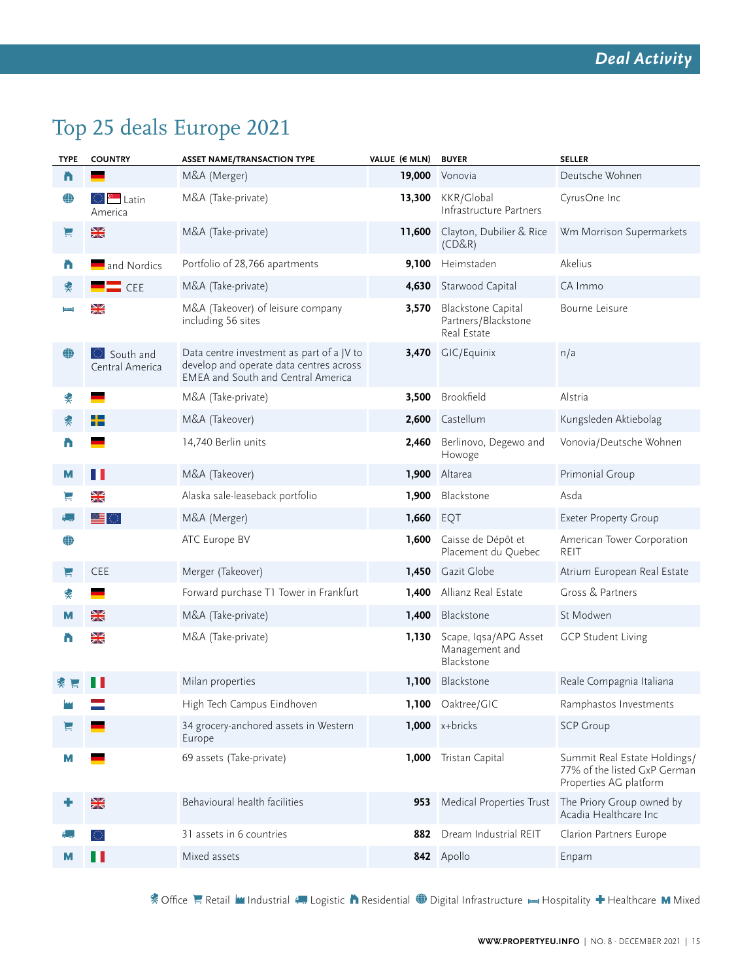# Top 25 deals Europe 2021

| <b>TYPE</b> | <b>COUNTRY</b>                  | <b>ASSET NAME/TRANSACTION TYPE</b>                                                                                                | VALUE (€ MLN) | <b>BUYER</b>                                                    | <b>SELLER</b>                                                                          |
|-------------|---------------------------------|-----------------------------------------------------------------------------------------------------------------------------------|---------------|-----------------------------------------------------------------|----------------------------------------------------------------------------------------|
| n           |                                 | M&A (Merger)                                                                                                                      | 19,000        | Vonovia                                                         | Deutsche Wohnen                                                                        |
| ⊕           | ं <sup>©</sup> Latin<br>America | M&A (Take-private)                                                                                                                | 13,300        | KKR/Global<br>Infrastructure Partners                           | CyrusOne Inc                                                                           |
| E           | XK                              | M&A (Take-private)                                                                                                                | 11,600        | Clayton, Dubilier & Rice<br>(CD&R)                              | Wm Morrison Supermarkets                                                               |
| n           | and Nordics                     | Portfolio of 28,766 apartments                                                                                                    | 9,100         | Heimstaden                                                      | Akelius                                                                                |
| ם           | $\blacksquare$ CEE              | M&A (Take-private)                                                                                                                | 4,630         | Starwood Capital                                                | CA Immo                                                                                |
|             | XK                              | M&A (Takeover) of leisure company<br>including 56 sites                                                                           | 3,570         | <b>Blackstone Capital</b><br>Partners/Blackstone<br>Real Estate | Bourne Leisure                                                                         |
| ⊕           | South and<br>Central America    | Data centre investment as part of a JV to<br>develop and operate data centres across<br><b>EMEA</b> and South and Central America |               | 3,470 GIC/Equinix                                               | n/a                                                                                    |
| ≸           |                                 | M&A (Take-private)                                                                                                                | 3,500         | Brookfield                                                      | Alstria                                                                                |
| ≸           | ╋                               | M&A (Takeover)                                                                                                                    | 2,600         | Castellum                                                       | Kungsleden Aktiebolag                                                                  |
| n           |                                 | 14,740 Berlin units                                                                                                               | 2,460         | Berlinovo, Degewo and<br>Howoge                                 | Vonovia/Deutsche Wohnen                                                                |
| M           | Ш                               | M&A (Takeover)                                                                                                                    | 1,900         | Altarea                                                         | Primonial Group                                                                        |
|             | NK<br>21                        | Alaska sale-leaseback portfolio                                                                                                   | 1,900         | Blackstone                                                      | Asda                                                                                   |
|             | █▊<br>石                         | M&A (Merger)                                                                                                                      | 1,660         | EQT                                                             | <b>Exeter Property Group</b>                                                           |
| ⊕           |                                 | ATC Europe BV                                                                                                                     | 1,600         | Caisse de Dépôt et<br>Placement du Quebec                       | American Tower Corporation<br><b>REIT</b>                                              |
| Ε           | <b>CEE</b>                      | Merger (Takeover)                                                                                                                 | 1,450         | Gazit Globe                                                     | Atrium European Real Estate                                                            |
| ם           |                                 | Forward purchase T1 Tower in Frankfurt                                                                                            | 1,400         | Allianz Real Estate                                             | Gross & Partners                                                                       |
| М           | XK                              | M&A (Take-private)                                                                                                                | 1,400         | Blackstone                                                      | St Modwen                                                                              |
| n           | XK                              | M&A (Take-private)                                                                                                                | 1,130         | Scape, Iqsa/APG Asset<br>Management and<br>Blackstone           | <b>GCP Student Living</b>                                                              |
|             |                                 | Milan properties                                                                                                                  | 1,100         | Blackstone                                                      | Reale Compagnia Italiana                                                               |
|             |                                 | High Tech Campus Eindhoven                                                                                                        |               | 1,100 Oaktree/GIC                                               | Ramphastos Investments                                                                 |
|             |                                 | 34 grocery-anchored assets in Western<br>Europe                                                                                   |               | $1,000$ x+bricks                                                | <b>SCP Group</b>                                                                       |
| м           |                                 | 69 assets (Take-private)                                                                                                          | 1,000         | Tristan Capital                                                 | Summit Real Estate Holdings/<br>77% of the listed GxP German<br>Properties AG platform |
|             | XK                              | Behavioural health facilities                                                                                                     | 953           | Medical Properties Trust                                        | The Priory Group owned by<br>Acadia Healthcare Inc                                     |
|             |                                 | 31 assets in 6 countries                                                                                                          | 882           | Dream Industrial REIT                                           | Clarion Partners Europe                                                                |
| м           | ш                               | Mixed assets                                                                                                                      |               | 842 Apollo                                                      | Enpam                                                                                  |

& Office Retail **I'l** Industrial **Conserts A** Residential Digital Infrastructure Hospitality + Healthcare M Mixed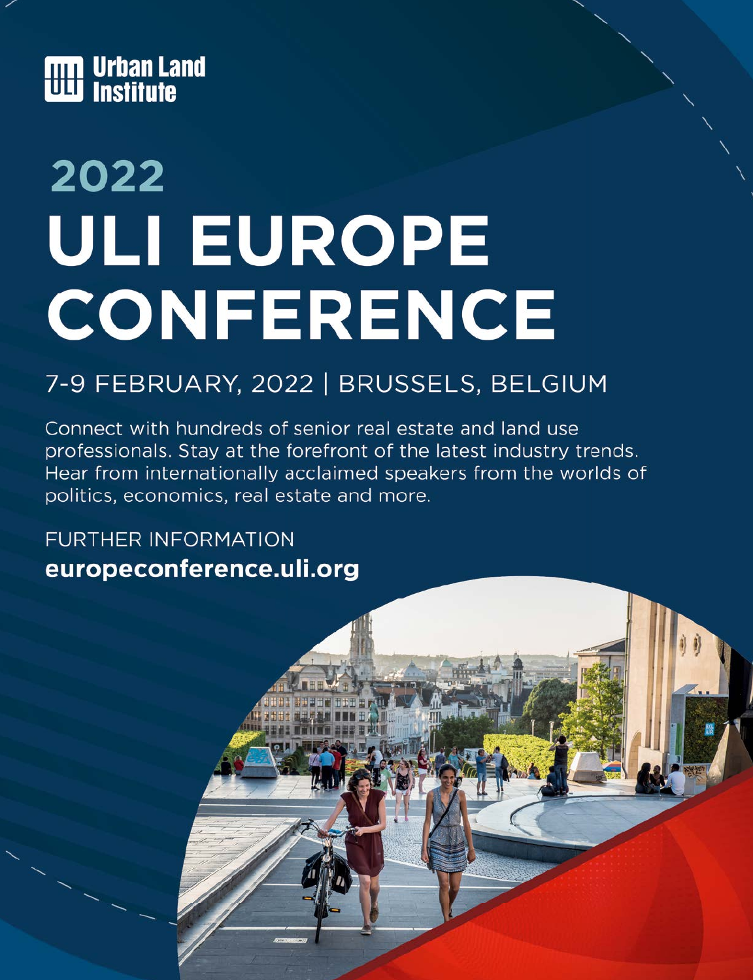

# 2022 **ULI EUROPE CONFERENCE**

# 7-9 FEBRUARY, 2022 | BRUSSELS, BELGIUM

Connect with hundreds of senior real estate and land use professionals. Stay at the forefront of the latest industry trends. Hear from internationally acclaimed speakers from the worlds of politics, economics, real estate and more.

**FURTHER INFORMATION** europeconference.uli.org